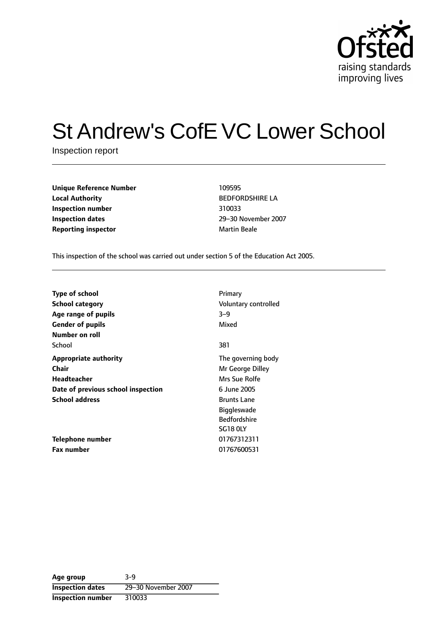

# St Andrew's CofE VC Lower School

Inspection report

| <b>Unique Reference Number</b> | 109595              |
|--------------------------------|---------------------|
| <b>Local Authority</b>         | <b>BEDFORDSH</b>    |
| Inspection number              | 310033              |
| <b>Inspection dates</b>        | 29-30 Novem         |
| <b>Reporting inspector</b>     | <b>Martin Beale</b> |

**BEDFORDSHIRE LA Inspection dates** 2930 November 2007

This inspection of the school was carried out under section 5 of the Education Act 2005.

| <b>Type of school</b><br><b>School category</b><br>Age range of pupils<br><b>Gender of pupils</b><br>Number on roll | Primary<br>Voluntary controlled<br>$3 - 9$<br>Mixed                                                                                       |
|---------------------------------------------------------------------------------------------------------------------|-------------------------------------------------------------------------------------------------------------------------------------------|
| School                                                                                                              | 381                                                                                                                                       |
| <b>Appropriate authority</b><br>Chair<br>Headteacher<br>Date of previous school inspection<br><b>School address</b> | The governing body<br>Mr George Dilley<br>Mrs Sue Rolfe<br>6 June 2005<br><b>Brunts Lane</b><br><b>Biggleswade</b><br><b>Bedfordshire</b> |
| Telephone number<br><b>Fax number</b>                                                                               | SG18 OLY<br>01767312311<br>01767600531                                                                                                    |

**Age group** 3-9 **Inspection dates** 29-30 November 2007 **Inspection number** 310033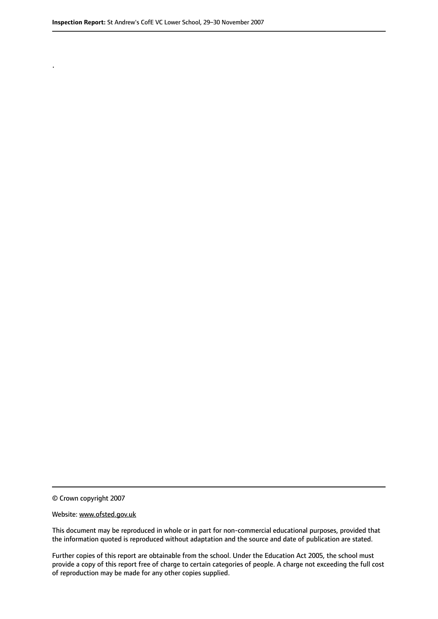.

© Crown copyright 2007

#### Website: www.ofsted.gov.uk

This document may be reproduced in whole or in part for non-commercial educational purposes, provided that the information quoted is reproduced without adaptation and the source and date of publication are stated.

Further copies of this report are obtainable from the school. Under the Education Act 2005, the school must provide a copy of this report free of charge to certain categories of people. A charge not exceeding the full cost of reproduction may be made for any other copies supplied.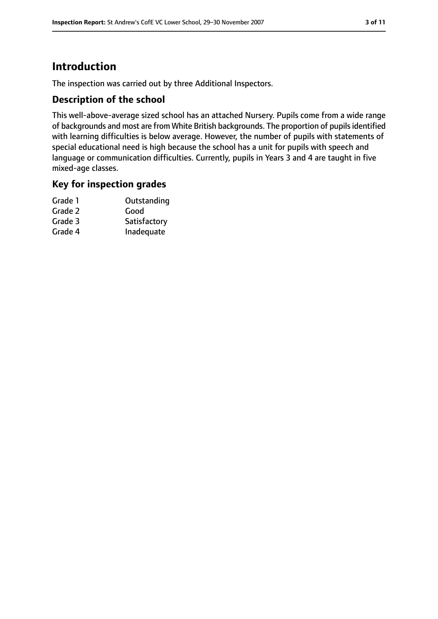# **Introduction**

The inspection was carried out by three Additional Inspectors.

# **Description of the school**

This well-above-average sized school has an attached Nursery. Pupils come from a wide range of backgrounds and most are from White British backgrounds. The proportion of pupilsidentified with learning difficulties is below average. However, the number of pupils with statements of special educational need is high because the school has a unit for pupils with speech and language or communication difficulties. Currently, pupils in Years 3 and 4 are taught in five mixed-age classes.

## **Key for inspection grades**

| Grade 1 | Outstanding  |
|---------|--------------|
| Grade 2 | Good         |
| Grade 3 | Satisfactory |
| Grade 4 | Inadequate   |
|         |              |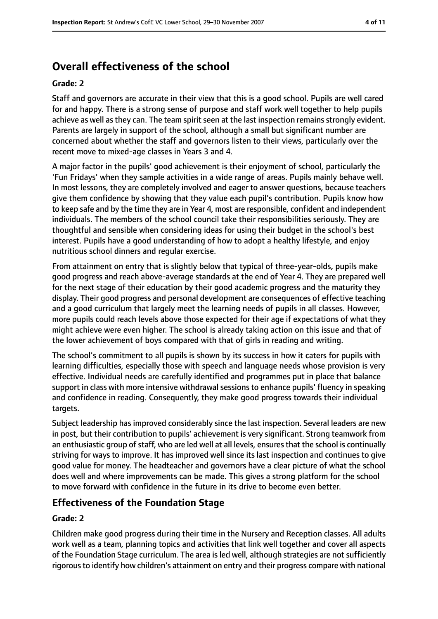# **Overall effectiveness of the school**

#### **Grade: 2**

Staff and governors are accurate in their view that this is a good school. Pupils are well cared for and happy. There is a strong sense of purpose and staff work well together to help pupils achieve as well as they can. The team spirit seen at the last inspection remains strongly evident. Parents are largely in support of the school, although a small but significant number are concerned about whether the staff and governors listen to their views, particularly over the recent move to mixed-age classes in Years 3 and 4.

A major factor in the pupils' good achievement is their enjoyment of school, particularly the 'Fun Fridays' when they sample activities in a wide range of areas. Pupils mainly behave well. In most lessons, they are completely involved and eager to answer questions, because teachers give them confidence by showing that they value each pupil's contribution. Pupils know how to keep safe and by the time they are in Year 4, most are responsible, confident and independent individuals. The members of the school council take their responsibilities seriously. They are thoughtful and sensible when considering ideas for using their budget in the school's best interest. Pupils have a good understanding of how to adopt a healthy lifestyle, and enjoy nutritious school dinners and regular exercise.

From attainment on entry that is slightly below that typical of three-year-olds, pupils make good progress and reach above-average standards at the end of Year 4. They are prepared well for the next stage of their education by their good academic progress and the maturity they display. Their good progress and personal development are consequences of effective teaching and a good curriculum that largely meet the learning needs of pupils in all classes. However, more pupils could reach levels above those expected for their age if expectations of what they might achieve were even higher. The school is already taking action on this issue and that of the lower achievement of boys compared with that of girls in reading and writing.

The school's commitment to all pupils is shown by its success in how it caters for pupils with learning difficulties, especially those with speech and language needs whose provision is very effective. Individual needs are carefully identified and programmes put in place that balance support in class with more intensive withdrawal sessions to enhance pupils' fluency in speaking and confidence in reading. Consequently, they make good progress towards their individual targets.

Subject leadership has improved considerably since the last inspection. Several leaders are new in post, but their contribution to pupils' achievement is very significant. Strong teamwork from an enthusiastic group of staff, who are led well at all levels, ensures that the school is continually striving for ways to improve. It has improved well since its last inspection and continues to give good value for money. The headteacher and governors have a clear picture of what the school does well and where improvements can be made. This gives a strong platform for the school to move forward with confidence in the future in its drive to become even better.

## **Effectiveness of the Foundation Stage**

#### **Grade: 2**

Children make good progress during their time in the Nursery and Reception classes. All adults work well as a team, planning topics and activities that link well together and cover all aspects of the Foundation Stage curriculum. The area is led well, although strategies are not sufficiently rigorous to identify how children's attainment on entry and their progress compare with national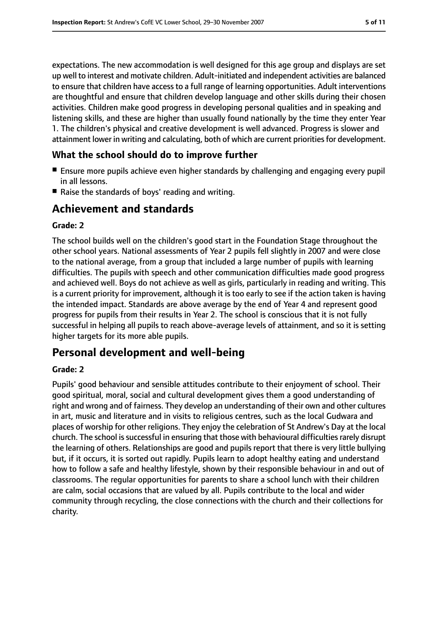expectations. The new accommodation is well designed for this age group and displays are set up well to interest and motivate children. Adult-initiated and independent activities are balanced to ensure that children have access to a full range of learning opportunities. Adult interventions are thoughtful and ensure that children develop language and other skills during their chosen activities. Children make good progress in developing personal qualities and in speaking and listening skills, and these are higher than usually found nationally by the time they enter Year 1. The children's physical and creative development is well advanced. Progress is slower and attainment lower in writing and calculating, both of which are current priorities for development.

## **What the school should do to improve further**

- Ensure more pupils achieve even higher standards by challenging and engaging every pupil in all lessons.
- Raise the standards of boys' reading and writing.

# **Achievement and standards**

#### **Grade: 2**

The school builds well on the children's good start in the Foundation Stage throughout the other school years. National assessments of Year 2 pupils fell slightly in 2007 and were close to the national average, from a group that included a large number of pupils with learning difficulties. The pupils with speech and other communication difficulties made good progress and achieved well. Boys do not achieve as well as girls, particularly in reading and writing. This is a current priority for improvement, although it is too early to see if the action taken is having the intended impact. Standards are above average by the end of Year 4 and represent good progress for pupils from their results in Year 2. The school is conscious that it is not fully successful in helping all pupils to reach above-average levels of attainment, and so it is setting higher targets for its more able pupils.

# **Personal development and well-being**

#### **Grade: 2**

Pupils' good behaviour and sensible attitudes contribute to their enjoyment of school. Their good spiritual, moral, social and cultural development gives them a good understanding of right and wrong and of fairness. They develop an understanding of their own and other cultures in art, music and literature and in visits to religious centres, such as the local Gudwara and places of worship for other religions. They enjoy the celebration of St Andrew's Day at the local church. The school is successful in ensuring that those with behavioural difficulties rarely disrupt the learning of others. Relationships are good and pupils report that there is very little bullying but, if it occurs, it is sorted out rapidly. Pupils learn to adopt healthy eating and understand how to follow a safe and healthy lifestyle, shown by their responsible behaviour in and out of classrooms. The regular opportunities for parents to share a school lunch with their children are calm, social occasions that are valued by all. Pupils contribute to the local and wider community through recycling, the close connections with the church and their collections for charity.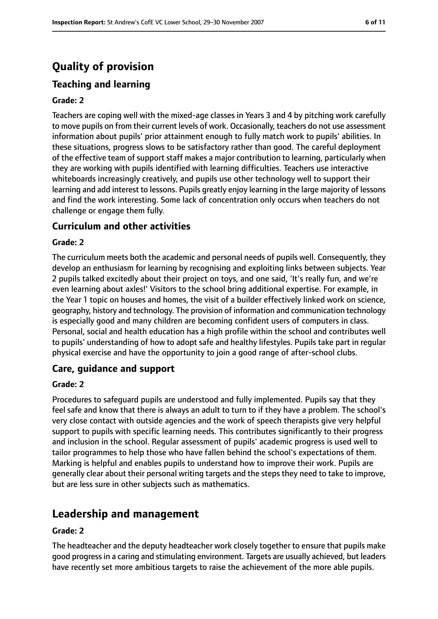# **Quality of provision**

# **Teaching and learning**

#### **Grade: 2**

Teachers are coping well with the mixed-age classes in Years 3 and 4 by pitching work carefully to move pupils on from their current levels of work. Occasionally, teachers do not use assessment information about pupils' prior attainment enough to fully match work to pupils' abilities. In these situations, progress slows to be satisfactory rather than good. The careful deployment of the effective team of support staff makes a major contribution to learning, particularly when they are working with pupils identified with learning difficulties. Teachers use interactive whiteboards increasingly creatively, and pupils use other technology well to support their learning and add interest to lessons. Pupils greatly enjoy learning in the large majority of lessons and find the work interesting. Some lack of concentration only occurs when teachers do not challenge or engage them fully.

## **Curriculum and other activities**

#### **Grade: 2**

The curriculum meets both the academic and personal needs of pupils well. Consequently, they develop an enthusiasm for learning by recognising and exploiting links between subjects. Year 2 pupils talked excitedly about their project on toys, and one said, 'It's really fun, and we're even learning about axles!' Visitors to the school bring additional expertise. For example, in the Year 1 topic on houses and homes, the visit of a builder effectively linked work on science, geography, history and technology. The provision of information and communication technology is especially good and many children are becoming confident users of computers in class. Personal, social and health education has a high profile within the school and contributes well to pupils' understanding of how to adopt safe and healthy lifestyles. Pupils take part in regular physical exercise and have the opportunity to join a good range of after-school clubs.

## **Care, guidance and support**

#### **Grade: 2**

Procedures to safeguard pupils are understood and fully implemented. Pupils say that they feel safe and know that there is always an adult to turn to if they have a problem. The school's very close contact with outside agencies and the work of speech therapists give very helpful support to pupils with specific learning needs. This contributes significantly to their progress and inclusion in the school. Regular assessment of pupils' academic progress is used well to tailor programmes to help those who have fallen behind the school's expectations of them. Marking is helpful and enables pupils to understand how to improve their work. Pupils are generally clear about their personal writing targets and the steps they need to take to improve, but are less sure in other subjects such as mathematics.

# **Leadership and management**

#### **Grade: 2**

The headteacher and the deputy headteacher work closely together to ensure that pupils make good progressin a caring and stimulating environment. Targets are usually achieved, but leaders have recently set more ambitious targets to raise the achievement of the more able pupils.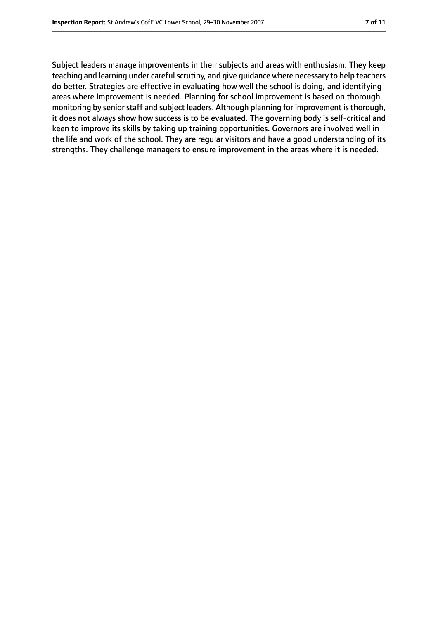Subject leaders manage improvements in their subjects and areas with enthusiasm. They keep teaching and learning under careful scrutiny, and give guidance where necessary to help teachers do better. Strategies are effective in evaluating how well the school is doing, and identifying areas where improvement is needed. Planning for school improvement is based on thorough monitoring by senior staff and subject leaders. Although planning for improvement is thorough, it does not always show how success is to be evaluated. The governing body is self-critical and keen to improve its skills by taking up training opportunities. Governors are involved well in the life and work of the school. They are regular visitors and have a good understanding of its strengths. They challenge managers to ensure improvement in the areas where it is needed.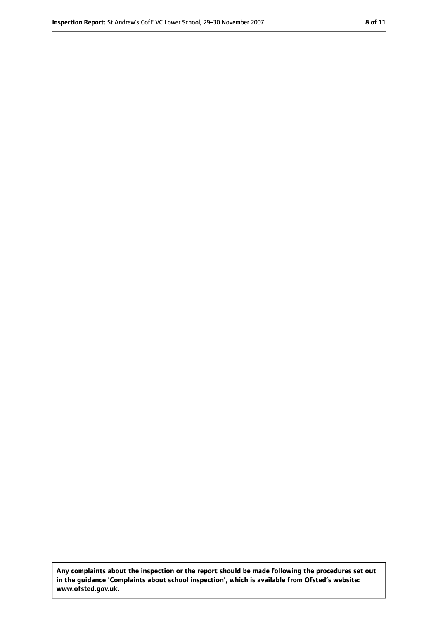**Any complaints about the inspection or the report should be made following the procedures set out in the guidance 'Complaints about school inspection', which is available from Ofsted's website: www.ofsted.gov.uk.**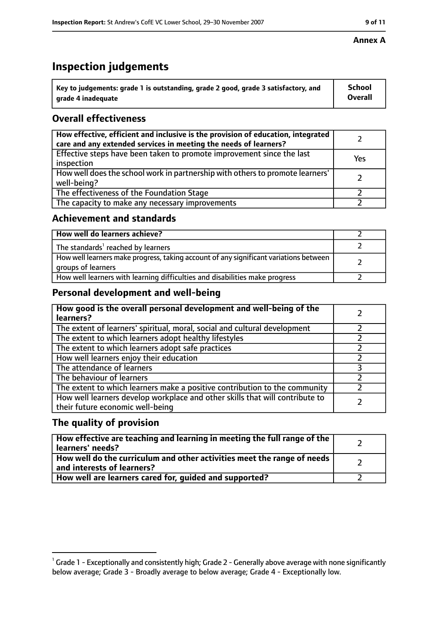# **Inspection judgements**

| $^{\backprime}$ Key to judgements: grade 1 is outstanding, grade 2 good, grade 3 satisfactory, and | <b>School</b>  |
|----------------------------------------------------------------------------------------------------|----------------|
| arade 4 inadeguate                                                                                 | <b>Overall</b> |

# **Overall effectiveness**

| How effective, efficient and inclusive is the provision of education, integrated<br>care and any extended services in meeting the needs of learners? |     |
|------------------------------------------------------------------------------------------------------------------------------------------------------|-----|
| Effective steps have been taken to promote improvement since the last<br>inspection                                                                  | Yes |
| How well does the school work in partnership with others to promote learners'<br>well-being?                                                         |     |
| The effectiveness of the Foundation Stage                                                                                                            |     |
| The capacity to make any necessary improvements                                                                                                      |     |

# **Achievement and standards**

| How well do learners achieve?                                                                               |  |
|-------------------------------------------------------------------------------------------------------------|--|
| The standards <sup>1</sup> reached by learners                                                              |  |
| How well learners make progress, taking account of any significant variations between<br>groups of learners |  |
| How well learners with learning difficulties and disabilities make progress                                 |  |

# **Personal development and well-being**

| How good is the overall personal development and well-being of the<br>learners?                                  |  |
|------------------------------------------------------------------------------------------------------------------|--|
| The extent of learners' spiritual, moral, social and cultural development                                        |  |
| The extent to which learners adopt healthy lifestyles                                                            |  |
| The extent to which learners adopt safe practices                                                                |  |
| How well learners enjoy their education                                                                          |  |
| The attendance of learners                                                                                       |  |
| The behaviour of learners                                                                                        |  |
| The extent to which learners make a positive contribution to the community                                       |  |
| How well learners develop workplace and other skills that will contribute to<br>their future economic well-being |  |

# **The quality of provision**

| How effective are teaching and learning in meeting the full range of the<br>learners' needs?          |  |
|-------------------------------------------------------------------------------------------------------|--|
| How well do the curriculum and other activities meet the range of needs<br>and interests of learners? |  |
| How well are learners cared for, guided and supported?                                                |  |

 $^1$  Grade 1 - Exceptionally and consistently high; Grade 2 - Generally above average with none significantly below average; Grade 3 - Broadly average to below average; Grade 4 - Exceptionally low.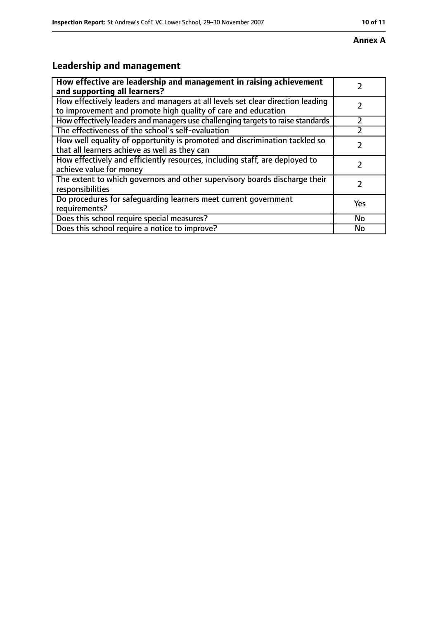#### **Annex A**

# **Leadership and management**

| How effective are leadership and management in raising achievement<br>and supporting all learners?                                              |           |
|-------------------------------------------------------------------------------------------------------------------------------------------------|-----------|
| How effectively leaders and managers at all levels set clear direction leading<br>to improvement and promote high quality of care and education |           |
| How effectively leaders and managers use challenging targets to raise standards                                                                 |           |
| The effectiveness of the school's self-evaluation                                                                                               |           |
| How well equality of opportunity is promoted and discrimination tackled so<br>that all learners achieve as well as they can                     |           |
| How effectively and efficiently resources, including staff, are deployed to<br>achieve value for money                                          |           |
| The extent to which governors and other supervisory boards discharge their<br>responsibilities                                                  | 2         |
| Do procedures for safequarding learners meet current government<br>requirements?                                                                | Yes       |
| Does this school require special measures?                                                                                                      | <b>No</b> |
| Does this school require a notice to improve?                                                                                                   | No        |